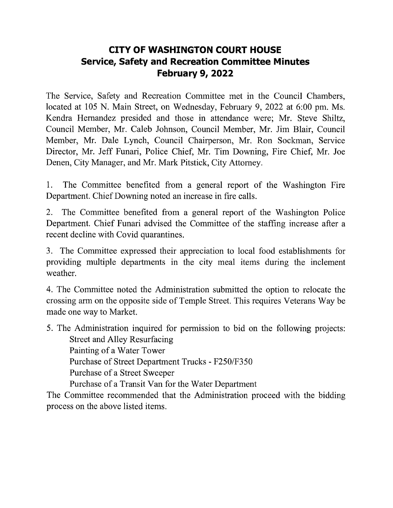## **CITY OF WASHINGTON COURT HOUSE Service, Safety and Recreation Committee Minutes February 9, 2022**

The Service, Safety and Recreation Committee met in the Council Chambers, located at 105 N. Main Street, on Wednesday, February 9, 2022 at 6:00 pm. Ms. Kendra Hernandez presided and those in attendance were; Mr. Steve Shiltz, Council Member, Mr. Caleb Johnson, Council Member, Mr. Jim Blair, Council Member, Mr. Dale Lynch, Council Chairperson, Mr. Ron Sockman, Service Director, Mr. Jeff Funari, Police Chief, Mr. Tim Downing, Fire Chief, Mr. Joe Denen, City Manager, and Mr. Mark Pitstick, City Attorney.

1. The Committee benefited from <sup>a</sup> general report of the Washington Fire Department. Chief Downing noted an increase in fire calls.

2. The Committee benefited from <sup>a</sup> general report of the Washington Police Department. Chief Funari advised the Committee of the staffing increase after <sup>a</sup> recent decline with Covid quarantines.

3. The Committee expressed their appreciation to local food establishments for providing multiple departments in the city meal items during the inclement weather.

4. The Committee noted the Administration submitted the option to relocate the crossing arm on the opposite side of Temple Street. This requires Veterans Way be made one way to Market.

5. The Administration inquired for permission to bid on the following projects: Street and Alley Resurfacing Painting of <sup>a</sup> Water Tower Purchase of Street Department Trucks - F250/F350 Purchase of <sup>a</sup> Street Sweeper Purchase of <sup>a</sup> Transit Van for the Water Department

The Committee recommended that the Administration proceed with the bidding process on the above listed items.